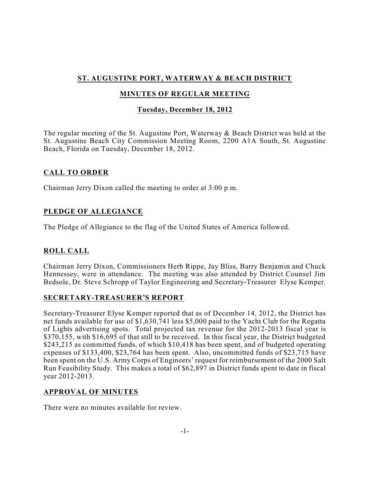# **ST. AUGUSTINE PORT, WATERWAY & BEACH DISTRICT**

# **MINUTES OF REGULAR MEETING**

## **Tuesday, December 18, 2012**

The regular meeting of the St. Augustine Port, Waterway & Beach District was held at the St. Augustine Beach City Commission Meeting Room, 2200 A1A South, St. Augustine Beach, Florida on Tuesday, December 18, 2012.

### **CALL TO ORDER**

Chairman Jerry Dixon called the meeting to order at 3:00 p.m.

# **PLEDGE OF ALLEGIANCE**

The Pledge of Allegiance to the flag of the United States of America followed.

# **ROLL CALL**

Chairman Jerry Dixon, Commissioners Herb Rippe, Jay Bliss, Barry Benjamin and Chuck Hennessey, were in attendance. The meeting was also attended by District Counsel Jim Bedsole, Dr. Steve Schropp of Taylor Engineering and Secretary-Treasurer Elyse Kemper.

### **SECRETARY-TREASURER'S REPORT**

Secretary-Treasurer Elyse Kemper reported that as of December 14, 2012, the District has net funds available for use of \$1,630,741 less \$5,000 paid to the Yacht Club for the Regatta of Lights advertising spots. Total projected tax revenue for the 2012-2013 fiscal year is \$370,155, with \$16,695 of that still to be received. In this fiscal year, the District budgeted \$243,215 as committed funds, of which \$10,418 has been spent, and of budgeted operating expenses of \$133,400, \$23,764 has been spent. Also, uncommitted funds of \$23,715 have been spent on the U.S. Army Corps of Engineers' request for reimbursement of the 2000 Salt Run Feasibility Study. This makes a total of \$62,897 in District funds spent to date in fiscal year 2012-2013.

### **APPROVAL OF MINUTES**

There were no minutes available for review.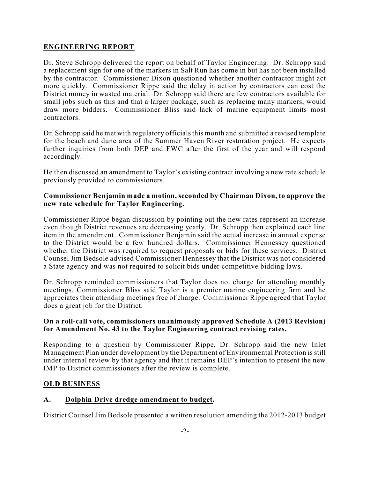### **ENGINEERING REPORT**

Dr. Steve Schropp delivered the report on behalf of Taylor Engineering. Dr. Schropp said a replacement sign for one of the markers in Salt Run has come in but has not been installed by the contractor. Commissioner Dixon questioned whether another contractor might act more quickly. Commissioner Rippe said the delay in action by contractors can cost the District money in wasted material. Dr. Schropp said there are few contractors available for small jobs such as this and that a larger package, such as replacing many markers, would draw more bidders. Commissioner Bliss said lack of marine equipment limits most contractors.

Dr. Schropp said he met with regulatory officials this month and submitted a revised template for the beach and dune area of the Summer Haven River restoration project. He expects further inquiries from both DEP and FWC after the first of the year and will respond accordingly.

He then discussed an amendment to Taylor's existing contract involving a new rate schedule previously provided to commissioners.

#### **Commissioner Benjamin made a motion, seconded by Chairman Dixon, to approve the new rate schedule for Taylor Engineering.**

Commissioner Rippe began discussion by pointing out the new rates represent an increase even though District revenues are decreasing yearly. Dr. Schropp then explained each line item in the amendment. Commissioner Benjamin said the actual increase in annual expense to the District would be a few hundred dollars. Commissioner Hennessey questioned whether the District was required to request proposals or bids for these services. District Counsel Jim Bedsole advised Commissioner Hennessey that the District was not considered a State agency and was not required to solicit bids under competitive bidding laws.

Dr. Schropp reminded commissioners that Taylor does not charge for attending monthly meetings. Commissioner Bliss said Taylor is a premier marine engineering firm and he appreciates their attending meetings free of charge. Commissioner Rippe agreed that Taylor does a great job for the District.

### **On a roll-call vote, commissioners unanimously approved Schedule A (2013 Revision) for Amendment No. 43 to the Taylor Engineering contract revising rates.**

Responding to a question by Commissioner Rippe, Dr. Schropp said the new Inlet Management Plan under development by the Department of Environmental Protection is still under internal review by that agency and that it remains DEP's intention to present the new IMP to District commissioners after the review is complete.

### **OLD BUSINESS**

#### **A. Dolphin Drive dredge amendment to budget.**

District Counsel Jim Bedsole presented a written resolution amending the 2012-2013 budget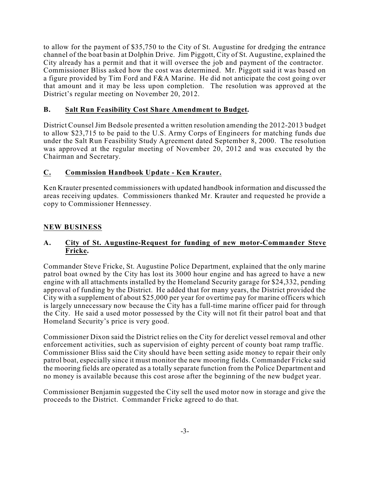to allow for the payment of \$35,750 to the City of St. Augustine for dredging the entrance channel of the boat basin at Dolphin Drive. Jim Piggott, City of St. Augustine, explained the City already has a permit and that it will oversee the job and payment of the contractor. Commissioner Bliss asked how the cost was determined. Mr. Piggott said it was based on a figure provided by Tim Ford and F&A Marine. He did not anticipate the cost going over that amount and it may be less upon completion. The resolution was approved at the District's regular meeting on November 20, 2012.

## **B. Salt Run Feasibility Cost Share Amendment to Budget.**

District Counsel Jim Bedsole presented a written resolution amending the 2012-2013 budget to allow \$23,715 to be paid to the U.S. Army Corps of Engineers for matching funds due under the Salt Run Feasibility Study Agreement dated September 8, 2000. The resolution was approved at the regular meeting of November 20, 2012 and was executed by the Chairman and Secretary.

## **C. Commission Handbook Update - Ken Krauter.**

Ken Krauter presented commissioners with updated handbook information and discussed the areas receiving updates. Commissioners thanked Mr. Krauter and requested he provide a copy to Commissioner Hennessey.

## **NEW BUSINESS**

### **A. City of St. Augustine-Request for funding of new motor-Commander Steve Fricke.**

Commander Steve Fricke, St. Augustine Police Department, explained that the only marine patrol boat owned by the City has lost its 3000 hour engine and has agreed to have a new engine with all attachments installed by the Homeland Security garage for \$24,332, pending approval of funding by the District. He added that for many years, the District provided the City with a supplement of about \$25,000 per year for overtime pay for marine officers which is largely unnecessary now because the City has a full-time marine officer paid for through the City. He said a used motor possessed by the City will not fit their patrol boat and that Homeland Security's price is very good.

Commissioner Dixon said the District relies on the City for derelict vessel removal and other enforcement activities, such as supervision of eighty percent of county boat ramp traffic. Commissioner Bliss said the City should have been setting aside money to repair their only patrol boat, especially since it must monitor the new mooring fields. Commander Fricke said the mooring fields are operated as a totally separate function from the Police Department and no money is available because this cost arose after the beginning of the new budget year.

Commissioner Benjamin suggested the City sell the used motor now in storage and give the proceeds to the District. Commander Fricke agreed to do that.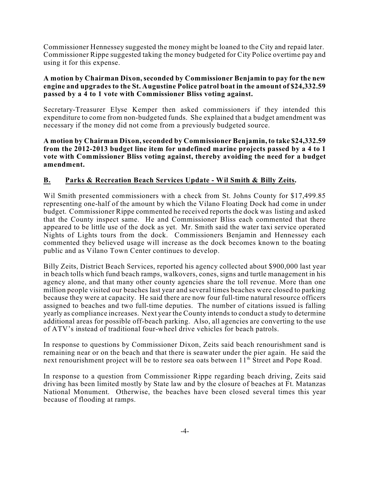Commissioner Hennessey suggested the money might be loaned to the City and repaid later. Commissioner Rippe suggested taking the money budgeted for City Police overtime pay and using it for this expense.

#### **A motion by Chairman Dixon, seconded by Commissioner Benjamin to pay for the new engine and upgrades to the St. Augustine Police patrol boat in the amount of \$24,332.59 passed by a 4 to 1 vote with Commissioner Bliss voting against.**

Secretary-Treasurer Elyse Kemper then asked commissioners if they intended this expenditure to come from non-budgeted funds. She explained that a budget amendment was necessary if the money did not come from a previously budgeted source.

**A motion by Chairman Dixon,seconded by Commissioner Benjamin, to take \$24,332.59 from the 2012-2013 budget line item for undefined marine projects passed by a 4 to 1 vote with Commissioner Bliss voting against, thereby avoiding the need for a budget amendment.**

### **B. Parks & Recreation Beach Services Update - Wil Smith & Billy Zeits.**

Wil Smith presented commissioners with a check from St. Johns County for \$17,499.85 representing one-half of the amount by which the Vilano Floating Dock had come in under budget. Commissioner Rippe commented he received reports the dock was listing and asked that the County inspect same. He and Commissioner Bliss each commented that there appeared to be little use of the dock as yet. Mr. Smith said the water taxi service operated Nights of Lights tours from the dock. Commissioners Benjamin and Hennessey each commented they believed usage will increase as the dock becomes known to the boating public and as Vilano Town Center continues to develop.

Billy Zeits, District Beach Services, reported his agency collected about \$900,000 last year in beach tolls which fund beach ramps, walkovers, cones, signs and turtle management in his agency alone, and that many other county agencies share the toll revenue. More than one million people visited our beaches last year and several times beaches were closed to parking because they were at capacity. He said there are now four full-time natural resource officers assigned to beaches and two full-time deputies. The number of citations issued is falling yearly as compliance increases. Next year the County intends to conduct a study to determine additional areas for possible off-beach parking. Also, all agencies are converting to the use of ATV's instead of traditional four-wheel drive vehicles for beach patrols.

In response to questions by Commissioner Dixon, Zeits said beach renourishment sand is remaining near or on the beach and that there is seawater under the pier again. He said the next renourishment project will be to restore sea oats between 11<sup>th</sup> Street and Pope Road.

In response to a question from Commissioner Rippe regarding beach driving, Zeits said driving has been limited mostly by State law and by the closure of beaches at Ft. Matanzas National Monument. Otherwise, the beaches have been closed several times this year because of flooding at ramps.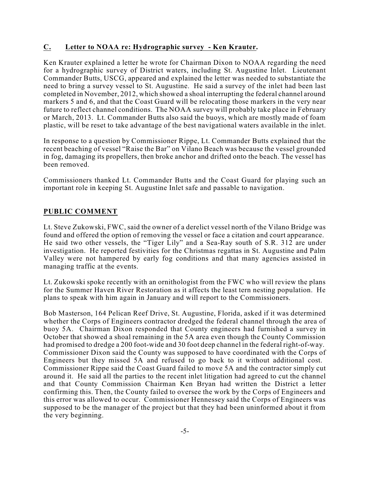### **C. Letter to NOAA re: Hydrographic survey - Ken Krauter.**

Ken Krauter explained a letter he wrote for Chairman Dixon to NOAA regarding the need for a hydrographic survey of District waters, including St. Augustine Inlet. Lieutenant Commander Butts, USCG, appeared and explained the letter was needed to substantiate the need to bring a survey vessel to St. Augustine. He said a survey of the inlet had been last completed in November, 2012, which showed a shoal interrupting the federal channel around markers 5 and 6, and that the Coast Guard will be relocating those markers in the very near future to reflect channel conditions. The NOAA survey will probably take place in February or March, 2013. Lt. Commander Butts also said the buoys, which are mostly made of foam plastic, will be reset to take advantage of the best navigational waters available in the inlet.

In response to a question by Commissioner Rippe, Lt. Commander Butts explained that the recent beaching of vessel "Raise the Bar" on Vilano Beach was because the vessel grounded in fog, damaging its propellers, then broke anchor and drifted onto the beach. The vessel has been removed.

Commissioners thanked Lt. Commander Butts and the Coast Guard for playing such an important role in keeping St. Augustine Inlet safe and passable to navigation.

### **PUBLIC COMMENT**

Lt. Steve Zukowski, FWC, said the owner of a derelict vessel north of the Vilano Bridge was found and offered the option of removing the vessel or face a citation and court appearance. He said two other vessels, the "Tiger Lily" and a Sea-Ray south of S.R. 312 are under investigation. He reported festivities for the Christmas regattas in St. Augustine and Palm Valley were not hampered by early fog conditions and that many agencies assisted in managing traffic at the events.

Lt. Zukowski spoke recently with an ornithologist from the FWC who will review the plans for the Summer Haven River Restoration as it affects the least tern nesting population. He plans to speak with him again in January and will report to the Commissioners.

Bob Masterson, 164 Pelican Reef Drive, St. Augustine, Florida, asked if it was determined whether the Corps of Engineers contractor dredged the federal channel through the area of buoy 5A. Chairman Dixon responded that County engineers had furnished a survey in October that showed a shoal remaining in the 5A area even though the County Commission had promised to dredge a 200 foot-wide and 30 foot deep channel in the federal right-of-way. Commissioner Dixon said the County was supposed to have coordinated with the Corps of Engineers but they missed 5A and refused to go back to it without additional cost. Commissioner Rippe said the Coast Guard failed to move 5A and the contractor simply cut around it. He said all the parties to the recent inlet litigation had agreed to cut the channel and that County Commission Chairman Ken Bryan had written the District a letter confirming this. Then, the County failed to oversee the work by the Corps of Engineers and this error was allowed to occur. Commissioner Hennessey said the Corps of Engineers was supposed to be the manager of the project but that they had been uninformed about it from the very beginning.